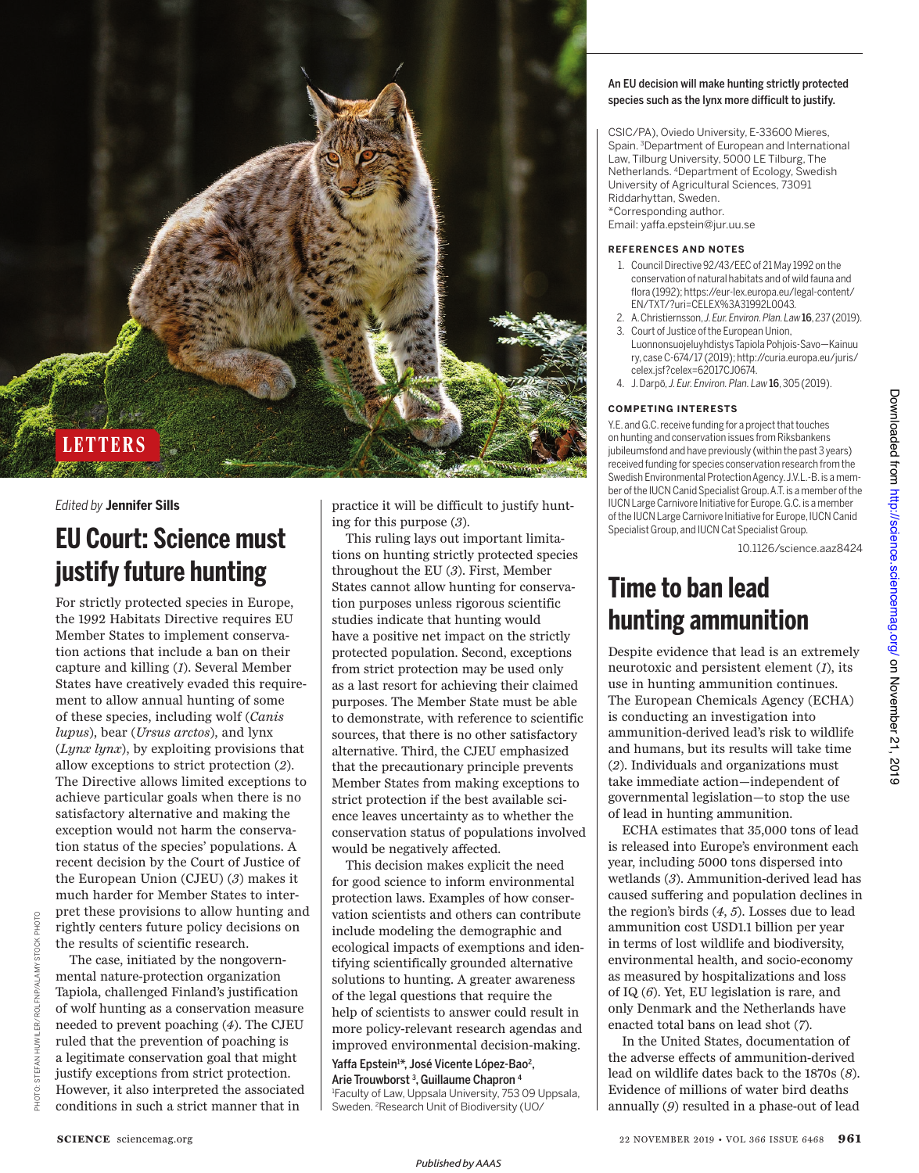

## *Edited by* **Jennifer Sills**

# **EU Court: Science must justify future hunting**

For strictly protected species in Europe, the 1992 Habitats Directive requires EU Member States to implement conservation actions that include a ban on their capture and killing (*1*). Several Member States have creatively evaded this requirement to allow annual hunting of some of these species, including wolf (*Canis lupus*), bear (*Ursus arctos*), and lynx (*Lynx lynx*), by exploiting provisions that allow exceptions to strict protection (*2*). The Directive allows limited exceptions to achieve particular goals when there is no satisfactory alternative and making the exception would not harm the conservation status of the species' populations. A recent decision by the Court of Justice of the European Union (CJEU) (*3*) makes it much harder for Member States to interpret these provisions to allow hunting and rightly centers future policy decisions on the results of scientific research.

PHOTO: STEFAN HUWILER/ROLFNP/ALAMY STOCK PHOTO

š ROLFNP/AL

The case, initiated by the nongovernmental nature-protection organization Tapiola, challenged Finland's justification of wolf hunting as a conservation measure needed to prevent poaching (*4*). The CJEU ruled that the prevention of poaching is a legitimate conservation goal that might justify exceptions from strict protection. However, it also interpreted the associated conditions in such a strict manner that in

practice it will be difficult to justify hunting for this purpose (*3*).

This ruling lays out important limitations on hunting strictly protected species throughout the EU (*3*). First, Member States cannot allow hunting for conservation purposes unless rigorous scientific studies indicate that hunting would have a positive net impact on the strictly protected population. Second, exceptions from strict protection may be used only as a last resort for achieving their claimed purposes. The Member State must be able to demonstrate, with reference to scientific sources, that there is no other satisfactory alternative. Third, the CJEU emphasized that the precautionary principle prevents Member States from making exceptions to strict protection if the best available science leaves uncertainty as to whether the conservation status of populations involved would be negatively affected.

This decision makes explicit the need for good science to inform environmental protection laws. Examples of how conservation scientists and others can contribute include modeling the demographic and ecological impacts of exemptions and identifying scientifically grounded alternative solutions to hunting. A greater awareness of the legal questions that require the help of scientists to answer could result in more policy-relevant research agendas and improved environmental decision-making.

Yaffa Epstein<sup>1\*</sup>, José Vicente López-Bao<sup>2</sup>, Arie Trouwborst <sup>3</sup>, Guillaume Chapron <sup>4</sup> 1 Faculty of Law, Uppsala University, 753 09 Uppsala,

Sweden. 2Research Unit of Biodiversity (UO/

### An EU decision will make hunting strictly protected species such as the lynx more difficult to justify.

CSIC/PA), Oviedo University, E-33600 Mieres, Spain. 3Department of European and International Law, Tilburg University, 5000 LE Tilburg, The Netherlands. 4Department of Ecology, Swedish University of Agricultural Sciences, 73091 Riddarhyttan, Sweden. \*Corresponding author. Email: yaffa.epstein@jur.uu.se

#### **REFERENCES AND NOTES**

- 1. Council Directive 92/43/EEC of 21 May 1992 on the conservation of natural habitats and of wild fauna and flora (1992); https://eur-lex.europa.eu/legal-content/ EN/TXT/?uri=CELEX%3A31992L0043*.*
- 2. A. Christiernsson, *J. Eur. Environ. Plan. Law*16, 237 (2019).
- 3. Court of Justice of the European Union,
- Luonnonsuojeluyhdistys Tapiola Pohjois-Savo—Kainuu ry, case C-674/17 (2019); http://curia.europa.eu/juris/ celex.jsf?celex=62017CJ0674.
- 4. J. Darpö, *J. Eur. Environ. Plan. Law*16, 305 (2019).

### **COMPETING INTERESTS**

Y.E. and G.C. receive funding for a project that touches on hunting and conservation issues from Riksbankens jubileumsfond and have previously (within the past 3 years) received funding for species conservation research from the Swedish Environmental Protection Agency. J.V.L.-B. is a member of the IUCN Canid Specialist Group. A.T. is a member of the IUCN Large Carnivore Initiative for Europe. G.C. is a member of the IUCN Large Carnivore Initiative for Europe, IUCN Canid Specialist Group, and IUCN Cat Specialist Group.

10.1126/science.aaz8424

# **Time to ban lead hunting ammunition**

Despite evidence that lead is an extremely neurotoxic and persistent element (*1*), its use in hunting ammunition continues. The European Chemicals Agency (ECHA) is conducting an investigation into ammunition-derived lead's risk to wildlife and humans, but its results will take time (*2*). Individuals and organizations must take immediate action —independent of governmental legislation—to stop the use of lead in hunting ammunition.

ECHA estimates that 35,000 tons of lead is released into Europe's environment each year, including 5000 tons dispersed into wetlands (*3*). Ammunition-derived lead has caused suffering and population declines in the region's birds (*4*, *5*). Losses due to lead ammunition cost USD1.1 billion per year in terms of lost wildlife and biodiversity, environmental health, and socio-economy as measured by hospitalizations and loss of IQ (*6*). Yet, EU legislation is rare, and only Denmark and the Netherlands have enacted total bans on lead shot (*7*).

In the United States, documentation of the adverse effects of ammunition-derived lead on wildlife dates back to the 1870s (*8*). Evidence of millions of water bird deaths annually (*9*) resulted in a phase-out of lead